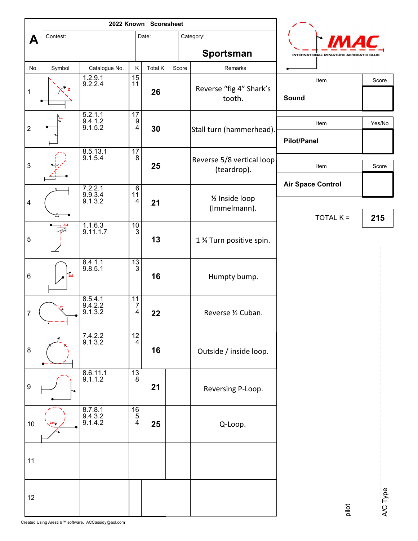|                         |                 |                                     |                                                             | 2022 Known Scoresheet |       |                                          |                                        |          |
|-------------------------|-----------------|-------------------------------------|-------------------------------------------------------------|-----------------------|-------|------------------------------------------|----------------------------------------|----------|
| A                       | Contest:        |                                     |                                                             |                       |       | Category:                                |                                        |          |
|                         |                 |                                     |                                                             |                       |       | Sportsman                                | INTERNATIONAL MINIATURE AEROBATIC CLUB |          |
| No                      | Symbol          | Catalogue No.                       | Κ                                                           | Total K               | Score | Remarks                                  |                                        |          |
| $\mathbf 1$             |                 | $1.2.9.1$<br>9.2.2.4                | $\frac{15}{11}$                                             | 26                    |       | Reverse "fig 4" Shark's<br>tooth.        | Item<br>Sound                          | Score    |
| $\overline{2}$          |                 | $5.2.1.1$<br>$9.4.1.2$<br>$9.1.5.2$ | $\begin{array}{c} \n \overline{17} \\ 9 \\ 4\n \end{array}$ | 30                    |       | Stall turn (hammerhead).                 | Item<br><b>Pilot/Panel</b>             | Yes/No   |
| $\mathbf{3}$            |                 | $8.5.13.1$<br>9.1.5.4               | $\frac{17}{8}$                                              | 25                    |       | Reverse 5/8 vertical loop<br>(teardrop). | Item                                   | Score    |
|                         |                 |                                     | $\frac{6}{11}$                                              |                       |       | 1/2 Inside loop<br>(Immelmann).          | <b>Air Space Control</b>               |          |
| $\overline{\mathbf{4}}$ |                 | 7.2.2.1<br>9.9.3.4<br>9.1.3.2       | $\overline{\mathbf{4}}$                                     | 21                    |       |                                          | $TOTAL K =$                            | 215      |
| 5                       | $-13/4$         | $\frac{1.1.6.3}{9.11.1.7}$          | $\frac{10}{3}$                                              | 13                    |       | 1 % Turn positive spin.                  |                                        |          |
| 6                       | $\frac{7}{2x8}$ | 8.4.1.1<br>9.8.5.1                  | $\frac{13}{3}$                                              | 16                    |       | Humpty bump.                             |                                        |          |
| $\overline{7}$          |                 | 8.5.4.1<br>9.4.2.2<br>9.1.3.2       | $\begin{array}{c} 11 \\ 7 \\ 4 \end{array}$                 | 22                    |       | Reverse 1/2 Cuban.                       |                                        |          |
| 8                       |                 | $7.4.2.2$<br>9.1.3.2                | $\frac{12}{4}$                                              | 16                    |       | Outside / inside loop.                   |                                        |          |
| 9                       |                 | $8.6.11.1$<br>9.1.1.2               | $\frac{13}{8}$                                              | 21                    |       | Reversing P-Loop.                        |                                        |          |
| $10\,$                  |                 | 8.7.8.1<br>9.4.3.2<br>9.1.4.2       | $\begin{array}{c} \n \overline{16} \\ 5 \\ 4\n \end{array}$ | 25                    |       | Q-Loop.                                  |                                        |          |
| 11                      |                 |                                     |                                                             |                       |       |                                          |                                        |          |
| $12$                    |                 |                                     |                                                             |                       |       |                                          | pilot                                  | A/C Type |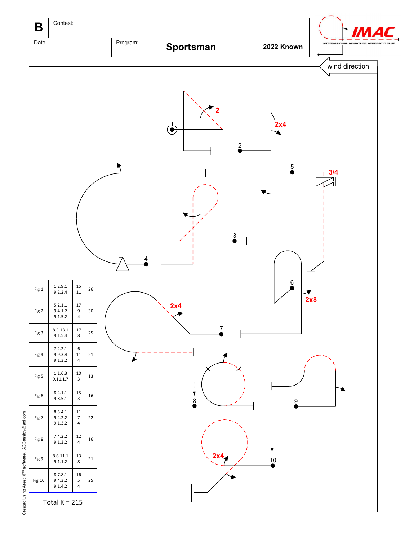